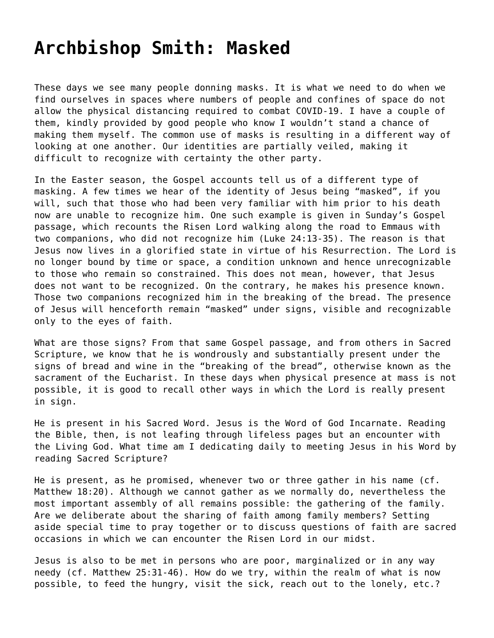## **[Archbishop Smith: Masked](https://grandinmedia.ca/archbishop-smith-masked/)**

These days we see many people donning masks. It is what we need to do when we find ourselves in spaces where numbers of people and confines of space do not allow the physical distancing required to combat COVID-19. I have a couple of them, kindly provided by good people who know I wouldn't stand a chance of making them myself. The common use of masks is resulting in a different way of looking at one another. Our identities are partially veiled, making it difficult to recognize with certainty the other party.

In the Easter season, the Gospel accounts tell us of a different type of masking. A few times we hear of the identity of Jesus being "masked", if you will, such that those who had been very familiar with him prior to his death now are unable to recognize him. One such example is given in Sunday's Gospel passage, which recounts the Risen Lord walking along the road to Emmaus with two companions, who did not recognize him (Luke 24:13-35). The reason is that Jesus now lives in a glorified state in virtue of his Resurrection. The Lord is no longer bound by time or space, a condition unknown and hence unrecognizable to those who remain so constrained. This does not mean, however, that Jesus does not want to be recognized. On the contrary, he makes his presence known. Those two companions recognized him in the breaking of the bread. The presence of Jesus will henceforth remain "masked" under signs, visible and recognizable only to the eyes of faith.

What are those signs? From that same Gospel passage, and from others in Sacred Scripture, we know that he is wondrously and substantially present under the signs of bread and wine in the "breaking of the bread", otherwise known as the sacrament of the Eucharist. In these days when physical presence at mass is not possible, it is good to recall other ways in which the Lord is really present in sign.

He is present in his Sacred Word. Jesus is the Word of God Incarnate. Reading the Bible, then, is not leafing through lifeless pages but an encounter with the Living God. What time am I dedicating daily to meeting Jesus in his Word by reading Sacred Scripture?

He is present, as he promised, whenever two or three gather in his name (cf. Matthew 18:20). Although we cannot gather as we normally do, nevertheless the most important assembly of all remains possible: the gathering of the family. Are we deliberate about the sharing of faith among family members? Setting aside special time to pray together or to discuss questions of faith are sacred occasions in which we can encounter the Risen Lord in our midst.

Jesus is also to be met in persons who are poor, marginalized or in any way needy (cf. Matthew 25:31-46). How do we try, within the realm of what is now possible, to feed the hungry, visit the sick, reach out to the lonely, etc.?